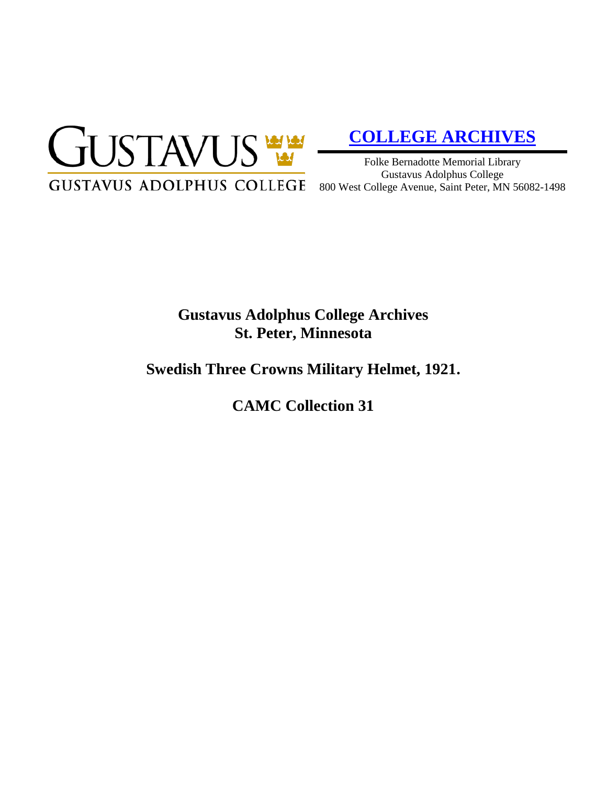

# **[COLLEGE ARCHIVES](http://gustavus.edu/academics/library/archives/)**

Folke Bernadotte Memorial Library Gustavus Adolphus College 800 West College Avenue, Saint Peter, MN 56082-1498

# **Gustavus Adolphus College Archives St. Peter, Minnesota**

**Swedish Three Crowns Military Helmet, 1921.**

**CAMC Collection 31**